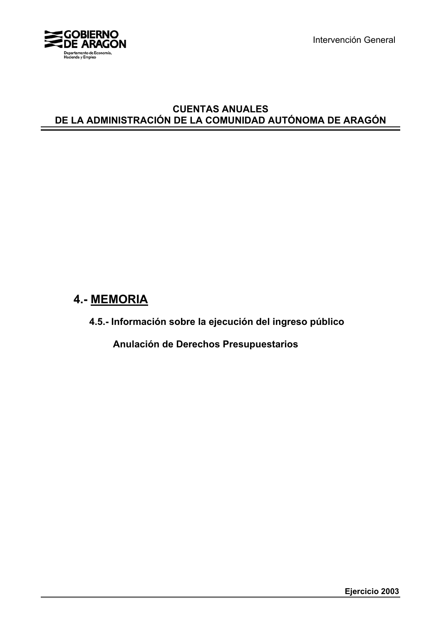

Intervención General

# **CUENTAS ANUALES DE LA ADMINISTRACIÓN DE LA COMUNIDAD AUTÓNOMA DE ARAGÓN**

# **4.- MEMORIA**

**4.5.- Información sobre la ejecución del ingreso público**

**Anulación de Derechos Presupuestarios**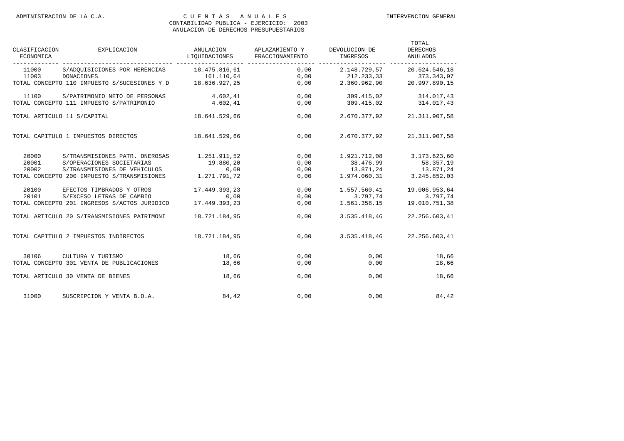| CLASIFICACION<br>ECONOMICA | EXPLICACION                                  | ANULACION<br>LIQUIDACIONES | APLAZAMIENTO Y<br>FRACCIONAMIENTO | DEVOLUCION DE<br>INGRESOS | TOTAL<br><b>DERECHOS</b><br><b>ANULADOS</b> |
|----------------------------|----------------------------------------------|----------------------------|-----------------------------------|---------------------------|---------------------------------------------|
| 11000                      | S/ADOUISICIONES POR HERENCIAS                | 18.475.816,61              | 0,00                              | 2.148.729,57              | 20.624.546,18                               |
| 11003                      | DONACIONES                                   | 161.110,64                 | 0,00                              | 212.233,33                | 373.343,97                                  |
|                            | TOTAL CONCEPTO 110 IMPUESTO S/SUCESIONES Y D | 18.636.927,25              | 0,00                              | 2.360.962,90              | 20.997.890,15                               |
| 11100                      | S/PATRIMONIO NETO DE PERSONAS                | 4.602,41                   | 0,00                              | 309.415,02                | 314.017,43                                  |
|                            | TOTAL CONCEPTO 111 IMPUESTO S/PATRIMONIO     | 4.602.41                   | 0,00                              | 309.415.02                | 314.017,43                                  |
|                            | TOTAL ARTICULO 11 S/CAPITAL                  | 18.641.529.66              | 0,00                              | 2.670.377.92              | 21.311.907,58                               |
|                            | TOTAL CAPITULO 1 IMPUESTOS DIRECTOS          | 18.641.529,66              | 0,00                              | 2.670.377,92              | 21.311.907,58                               |
| 20000                      | S/TRANSMISIONES PATR. ONEROSAS               | 1.251.911,52               | 0,00                              | 1.921.712,08              | 3.173.623,60                                |
| 20001                      | S/OPERACIONES SOCIETARIAS                    | 19.880,20                  | 0,00                              | 38.476,99                 | 58.357,19                                   |
| 20002                      | S/TRANSMISIONES DE VEHICULOS                 | 0,00                       | 0,00                              | 13.871,24                 | 13.871,24                                   |
|                            | TOTAL CONCEPTO 200 IMPUESTO S/TRANSMISIONES  | 1.271.791,72               | 0,00                              | 1.974.060,31              | 3.245.852,03                                |
| 20100                      | EFECTOS TIMBRADOS Y OTROS                    | 17.449.393,23              | 0,00                              | 1.557.560,41              | 19.006.953,64                               |
| 20101                      | S/EXCESO LETRAS DE CAMBIO                    | 0.00                       | 0,00                              | 3.797.74                  | 3.797.74                                    |
|                            | TOTAL CONCEPTO 201 INGRESOS S/ACTOS JURIDICO | 17.449.393,23              | 0,00                              | 1.561.358,15              | 19.010.751,38                               |
|                            | TOTAL ARTICULO 20 S/TRANSMISIONES PATRIMONI  | 18.721.184,95              | 0,00                              | 3.535.418,46              | 22.256.603,41                               |
|                            | TOTAL CAPITULO 2 IMPUESTOS INDIRECTOS        | 18.721.184,95              | 0,00                              | 3.535.418,46              | 22.256.603,41                               |
| 30106                      | CULTURA Y TURISMO                            | 18,66                      | 0,00                              | 0.00                      | 18,66                                       |
|                            | TOTAL CONCEPTO 301 VENTA DE PUBLICACIONES    | 18,66                      | 0,00                              | 0,00                      | 18,66                                       |
|                            | TOTAL ARTICULO 30 VENTA DE BIENES            | 18,66                      | 0,00                              | 0,00                      | 18,66                                       |
| 31000                      | SUSCRIPCION Y VENTA B.O.A.                   | 84,42                      | 0,00                              | 0,00                      | 84,42                                       |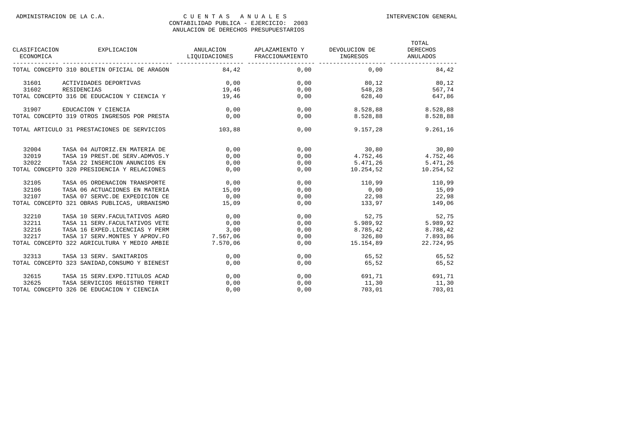| CLASIFICACION<br>ECONOMICA | EXPLICACION                                   | ANULACION<br>LIQUIDACIONES | APLAZAMIENTO Y DEVOLUCION DE<br>FRACCIONAMIENTO | INGRESOS  | TOTAL<br><b>DERECHOS</b><br>ANULADOS |
|----------------------------|-----------------------------------------------|----------------------------|-------------------------------------------------|-----------|--------------------------------------|
|                            | TOTAL CONCEPTO 310 BOLETIN OFICIAL DE ARAGON  | 84,42                      | 0.00                                            | 0.00      | 84,42                                |
| 31601                      | ACTIVIDADES DEPORTIVAS                        | 0,00                       | 0,00                                            | 80,12     | 80,12                                |
| 31602                      | RESIDENCIAS                                   | 19,46                      | 0,00                                            | 548,28    | 567,74                               |
|                            | TOTAL CONCEPTO 316 DE EDUCACION Y CIENCIA Y   | 19,46                      | 0,00                                            | 628,40    | 647,86                               |
| 31907                      | EDUCACION Y CIENCIA                           | 0.00                       | 0,00                                            | 8.528,88  | 8.528,88                             |
|                            | TOTAL CONCEPTO 319 OTROS INGRESOS POR PRESTA  | 0,00                       | 0,00                                            | 8.528,88  | 8.528,88                             |
|                            | TOTAL ARTICULO 31 PRESTACIONES DE SERVICIOS   | 103,88                     | 0,00                                            | 9.157,28  | 9.261,16                             |
| 32004                      | TASA 04 AUTORIZ.EN MATERIA DE                 | 0,00                       | 0,00                                            | 30,80     | 30, 80                               |
| 32019                      | TASA 19 PREST.DE SERV.ADMVOS.Y                | 0,00                       | 0,00                                            | 4.752,46  | 4.752,46                             |
| 32022                      | TASA 22 INSERCION ANUNCIOS EN                 | 0,00                       | 0,00                                            | 5.471,26  | 5.471,26                             |
|                            | TOTAL CONCEPTO 320 PRESIDENCIA Y RELACIONES   | 0,00                       | 0,00                                            | 10.254,52 | 10.254,52                            |
| 32105                      | TASA 05 ORDENACION TRANSPORTE                 | 0, 00                      | 0,00                                            | 110,99    | 110,99                               |
| 32106                      | TASA 06 ACTUACIONES EN MATERIA                | 15,09                      | 0,00                                            | 0,00      | 15,09                                |
| 32107                      | TASA 07 SERVC.DE EXPEDICION CE                | 0,00                       | 0,00                                            | 22,98     | 22,98                                |
|                            | TOTAL CONCEPTO 321 OBRAS PUBLICAS, URBANISMO  | 15,09                      | 0,00                                            | 133,97    | 149,06                               |
| 32210                      | TASA 10 SERV. FACULTATIVOS AGRO               | 0,00                       | 0,00                                            | 52,75     | 52,75                                |
| 32211                      | TASA 11 SERV. FACULTATIVOS VETE               | 0,00                       | 0,00                                            | 5.989, 92 | 5.989,92                             |
| 32216                      | TASA 16 EXPED.LICENCIAS Y PERM                | 3,00                       | 0,00                                            | 8.785,42  | 8.788,42                             |
| 32217                      | TASA 17 SERV. MONTES Y APROV. FO              | 7.567,06                   | 0,00                                            | 326,80    | 7.893,86                             |
|                            | TOTAL CONCEPTO 322 AGRICULTURA Y MEDIO AMBIE  | 7.570,06                   | 0,00                                            | 15.154,89 | 22.724,95                            |
| 32313                      | TASA 13 SERV. SANITARIOS                      | 0,00                       | 0,00                                            | 65,52     | 65,52                                |
|                            | TOTAL CONCEPTO 323 SANIDAD, CONSUMO Y BIENEST | 0,00                       | 0,00                                            | 65,52     | 65,52                                |
| 32615                      | TASA 15 SERV. EXPD. TITULOS ACAD              | 0,00                       | 0,00                                            | 691,71    | 691,71                               |
| 32625                      | TASA SERVICIOS REGISTRO TERRIT                | 0.00                       | 0.00                                            | 11,30     | 11,30                                |
|                            | TOTAL CONCEPTO 326 DE EDUCACION Y CIENCIA     | 0,00                       | 0,00                                            | 703,01    | 703,01                               |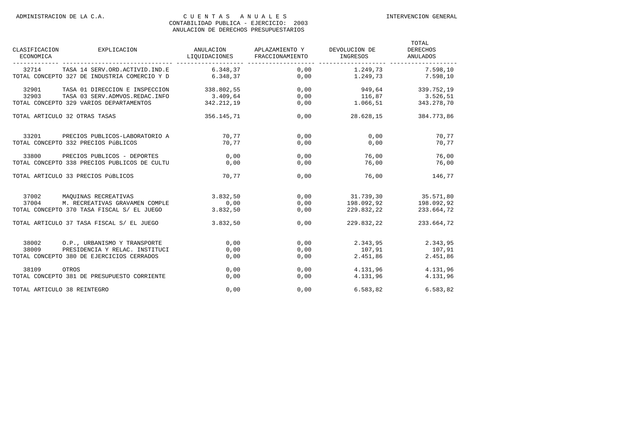| CLASIFICACION<br>ECONOMICA | EXPLICACION                                                                    | ANULACION<br>LIQUIDACIONES | APLAZAMIENTO Y<br>FRACCIONAMIENTO | DEVOLUCION DE<br><b>INGRESOS</b> | TOTAL<br><b>DERECHOS</b><br>ANULADOS |
|----------------------------|--------------------------------------------------------------------------------|----------------------------|-----------------------------------|----------------------------------|--------------------------------------|
| 32714                      | TASA 14 SERV.ORD.ACTIVID.IND.E<br>TOTAL CONCEPTO 327 DE INDUSTRIA COMERCIO Y D | 6.348.37<br>6.348,37       | 0,00<br>0,00                      | 1.249,73<br>1.249,73             | 7.598,10<br>7.598,10                 |
|                            |                                                                                |                            |                                   |                                  |                                      |
| 32901                      | TASA 01 DIRECCION E INSPECCION                                                 | 338.802,55                 | 0,00                              | 949,64                           | 339.752,19                           |
| 32903                      | TASA 03 SERV. ADMVOS. REDAC. INFO                                              | 3.409,64                   | 0,00                              | 116,87                           | 3.526,51                             |
|                            | TOTAL CONCEPTO 329 VARIOS DEPARTAMENTOS                                        | 342.212.19                 | 0.00                              | 1.066.51                         | 343.278,70                           |
|                            | TOTAL ARTICULO 32 OTRAS TASAS                                                  | 356.145,71                 | 0,00                              | 28.628,15                        | 384.773,86                           |
| 33201                      | PRECIOS PUBLICOS-LABORATORIO A                                                 | 70,77                      | 0,00                              | 0,00                             | 70,77                                |
|                            | TOTAL CONCEPTO 332 PRECIOS PÚBLICOS                                            | 70.77                      | 0,00                              | 0.00                             | 70,77                                |
| 33800                      | PRECIOS PUBLICOS - DEPORTES                                                    | 0.00                       | 0.00                              | 76,00                            | 76,00                                |
|                            | TOTAL CONCEPTO 338 PRECIOS PUBLICOS DE CULTU                                   | 0,00                       | 0,00                              | 76,00                            | 76,00                                |
|                            | TOTAL ARTICULO 33 PRECIOS PÚBLICOS                                             | 70.77                      | 0.00                              | 76,00                            | 146,77                               |
| 37002                      | MAOUINAS RECREATIVAS                                                           | 3.832,50                   | 0,00                              | 31.739,30                        | 35.571,80                            |
| 37004                      | M. RECREATIVAS GRAVAMEN COMPLE                                                 | 0,00                       | 0,00                              | 198.092,92                       | 198.092,92                           |
|                            | TOTAL CONCEPTO 370 TASA FISCAL S/ EL JUEGO                                     | 3.832,50                   | 0,00                              | 229.832,22                       | 233.664,72                           |
|                            | TOTAL ARTICULO 37 TASA FISCAL S/ EL JUEGO                                      | 3.832,50                   | 0,00                              | 229.832,22                       | 233.664,72                           |
| 38002                      | O.P., URBANISMO Y TRANSPORTE                                                   | 0,00                       | 0,00                              | 2.343,95                         | 2.343,95                             |
| 38009                      | PRESIDENCIA Y RELAC. INSTITUCI                                                 | 0,00                       | 0,00                              | 107,91                           | 107,91                               |
|                            | TOTAL CONCEPTO 380 DE EJERCICIOS CERRADOS                                      | 0,00                       | 0,00                              | 2.451,86                         | 2.451,86                             |
| 38109                      | OTROS                                                                          | 0,00                       | 0,00                              | 4.131,96                         | 4.131,96                             |
|                            | TOTAL CONCEPTO 381 DE PRESUPUESTO CORRIENTE                                    | 0,00                       | 0,00                              | 4.131,96                         | 4.131,96                             |
|                            | TOTAL ARTICULO 38 REINTEGRO                                                    | 0,00                       | 0,00                              | 6.583,82                         | 6.583.82                             |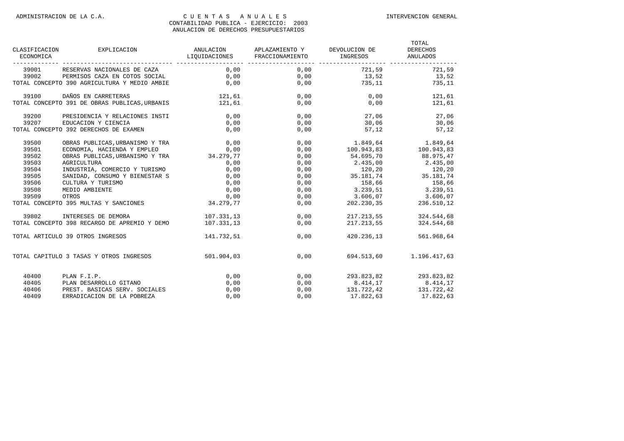| CLASIFICACION<br>ECONOMICA | EXPLICACION                                          | LIQUIDACIONES FRACCIONAMIENTO | ANULACION APLAZAMIENTO Y DEVOLUCION DE | INGRESOS                                                                                                                                                 | TOTAL<br>DERECHOS<br>ANULADOS |
|----------------------------|------------------------------------------------------|-------------------------------|----------------------------------------|----------------------------------------------------------------------------------------------------------------------------------------------------------|-------------------------------|
|                            | 39001 RESERVAS NACIONALES DE CAZA                    | 0,00                          | 0,00                                   | 721,59                                                                                                                                                   | 721,59                        |
| 39002                      | PERMISOS CAZA EN COTOS SOCIAL                        | 0,00                          | 0,00                                   | 13,52                                                                                                                                                    | 13,52                         |
|                            | TOTAL CONCEPTO 390 AGRICULTURA Y MEDIO AMBIE         | 0,00                          | 0,00                                   | 735, 11                                                                                                                                                  | 735,11                        |
| 39100                      | DAÑOS EN CARRETERAS                                  | 121,61                        | 0,00                                   | 0.00                                                                                                                                                     | 121,61                        |
|                            | TOTAL CONCEPTO 391 DE OBRAS PUBLICAS, URBANIS 121,61 |                               | 0,00                                   |                                                                                                                                                          | 0,00<br>121,61                |
| 39200                      | PRESIDENCIA Y RELACIONES INSTI                       | 0,00                          | 0,00                                   | 27,06 27,06                                                                                                                                              |                               |
| 39207                      | EDUCACION Y CIENCIA                                  | 0,00                          | 0,00                                   | $30,06$ 30,06                                                                                                                                            |                               |
|                            | TOTAL CONCEPTO 392 DERECHOS DE EXAMEN                | 0,00                          | 0,00                                   | 57,12                                                                                                                                                    | 57,12                         |
| 39500                      | OBRAS PUBLICAS, URBANISMO Y TRA                      | 0,00                          |                                        | $\begin{array}{cccc} 0\,, 00 & \quad & 1\,.849\,, 64 & \quad & 1\,.849\,, 64 \\ 0\,, 00 & \quad & 100\,.943\,, 83 & \quad & 100\,.943\,, 83 \end{array}$ |                               |
| 39501                      |                                                      |                               |                                        |                                                                                                                                                          |                               |
| 39502                      |                                                      |                               | 0,00                                   | 54.695,70                                                                                                                                                | 88.975,47                     |
| 39503                      | AGRICULTURA                                          | 0,00                          | 0,00                                   | $2.435,00$ $2.435,00$                                                                                                                                    |                               |
| 39504                      | INDUSTRIA, COMERCIO Y TURISMO                        | 0,00                          | 0,00                                   | $120, 20$ $120, 20$                                                                                                                                      |                               |
| 39505                      | SANIDAD, CONSUMO Y BIENESTAR S                       | 0,00                          | 0,00                                   | $35.181, 74$ $35.181, 74$                                                                                                                                |                               |
| 39506                      | CULTURA Y TURISMO                                    | 0,00                          | 0,00                                   | 158,66 158,66                                                                                                                                            |                               |
| 39508                      | MEDIO AMBIENTE                                       | 0,00                          | 0,00                                   | 3.239,51 3.239,51                                                                                                                                        |                               |
| 39509                      | OTROS                                                | 0,00                          |                                        | $0,00$ 3.606,07 3.606,07                                                                                                                                 |                               |
|                            | TOTAL CONCEPTO 395 MULTAS Y SANCIONES 34.279,77      |                               |                                        | $0,00$ 202.230,35 236.510,12                                                                                                                             |                               |
| 39802                      | INTERESES DE DEMORA                                  | 107.331,13                    | 0,00                                   | 217.213,55                                                                                                                                               | 324.544,68                    |
|                            | TOTAL CONCEPTO 398 RECARGO DE APREMIO Y DEMO         | 107.331.13                    | 0,00                                   | 217.213,55                                                                                                                                               | 324.544,68                    |
|                            | TOTAL ARTICULO 39 OTROS INGRESOS                     | 141.732,51                    | 0,00                                   | 420.236,13                                                                                                                                               | 561.968,64                    |
|                            | TOTAL CAPITULO 3 TASAS Y OTROS INGRESOS              | 501.904,03                    | 0,00                                   |                                                                                                                                                          | 694.513,60 1.196.417,63       |
| 40400                      | PLAN F.I.P.                                          | 0,00                          |                                        | 0,00 293.823,82 293.823,82                                                                                                                               |                               |
| 40405                      | PLAN DESARROLLO GITANO                               | 0,00                          | 0,00                                   | 8.414,17                                                                                                                                                 | 8.414,17                      |
| 40406                      | PREST. BASICAS SERV. SOCIALES                        | 0,00                          | 0,00                                   |                                                                                                                                                          | 131.722,42 131.722,42         |
| 40409                      | ERRADICACION DE LA POBREZA                           | 0.00                          | 0.00                                   | 17.822.63                                                                                                                                                | 17.822,63                     |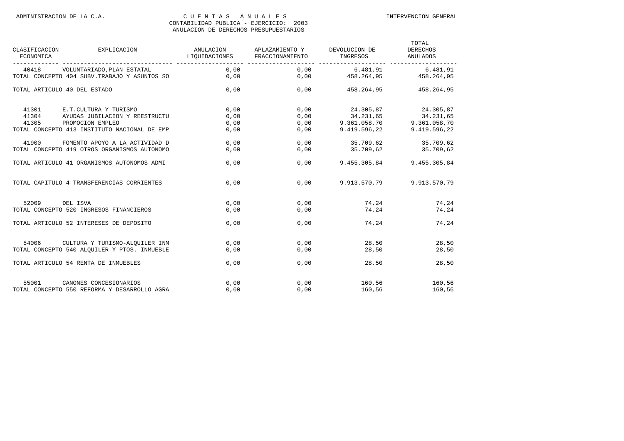| CLASIFICACION<br>ECONOMICA   | EXPLICACION                                   | ANULACION<br>LIQUIDACIONES | APLAZAMIENTO Y<br>FRACCIONAMIENTO | DEVOLUCION DE<br>INGRESOS | TOTAL<br><b>DERECHOS</b><br>ANULADOS |
|------------------------------|-----------------------------------------------|----------------------------|-----------------------------------|---------------------------|--------------------------------------|
| 40418                        | VOLUNTARIADO, PLAN ESTATAL                    | 0,00                       | 0,00                              | 6.481,91                  | 6.481,91                             |
|                              | TOTAL CONCEPTO 404 SUBV. TRABAJO Y ASUNTOS SO | 0,00                       | 0,00                              | 458.264,95                | 458.264,95                           |
| TOTAL ARTICULO 40 DEL ESTADO |                                               | 0,00                       | 0,00                              | 458.264,95                | 458.264,95                           |
| 41301                        | E.T.CULTURA Y TURISMO                         | 0,00                       | 0,00                              | 24.305,87                 | 24.305,87                            |
| 41304                        | AYUDAS JUBILACION Y REESTRUCTU                | 0,00                       | 0,00                              | 34.231,65                 | 34.231,65                            |
| 41305                        | PROMOCION EMPLEO                              | 0,00                       | 0,00                              | 9.361.058.70              | 9.361.058,70                         |
|                              | TOTAL CONCEPTO 413 INSTITUTO NACIONAL DE EMP  | 0,00                       | 0,00                              | 9.419.596,22              | 9.419.596,22                         |
| 41900                        | FOMENTO APOYO A LA ACTIVIDAD D                | 0,00                       | 0,00                              | 35.709,62                 | 35.709,62                            |
|                              | TOTAL CONCEPTO 419 OTROS ORGANISMOS AUTONOMO  | 0,00                       | 0,00                              | 35.709,62                 | 35.709,62                            |
|                              | TOTAL ARTICULO 41 ORGANISMOS AUTONOMOS ADMI   | 0,00                       | 0.00                              | 9.455.305,84              | 9.455.305,84                         |
|                              | TOTAL CAPITULO 4 TRANSFERENCIAS CORRIENTES    | 0.00                       | 0.00                              | 9.913.570.79              | 9.913.570,79                         |
| 52009                        | DEL ISVA                                      | 0,00                       | 0.00                              | 74.24                     | 74,24                                |
|                              | TOTAL CONCEPTO 520 INGRESOS FINANCIEROS       | 0,00                       | 0,00                              | 74,24                     | 74,24                                |
|                              | TOTAL ARTICULO 52 INTERESES DE DEPOSITO       | 0,00                       | 0,00                              | 74,24                     | 74,24                                |
| 54006                        | CULTURA Y TURISMO-ALOUILER INM                | 0,00                       | 0,00                              | 28,50                     | 28,50                                |
|                              | TOTAL CONCEPTO 540 ALOUILER Y PTOS. INMUEBLE  | 0,00                       | 0,00                              | 28,50                     | 28,50                                |
|                              | TOTAL ARTICULO 54 RENTA DE INMUEBLES          | 0,00                       | 0,00                              | 28,50                     | 28,50                                |
| 55001                        | CANONES CONCESIONARIOS                        | 0,00                       | 0,00                              | 160,56                    | 160,56                               |
|                              | TOTAL CONCEPTO 550 REFORMA Y DESARROLLO AGRA  | 0.00                       | 0.00                              | 160,56                    | 160,56                               |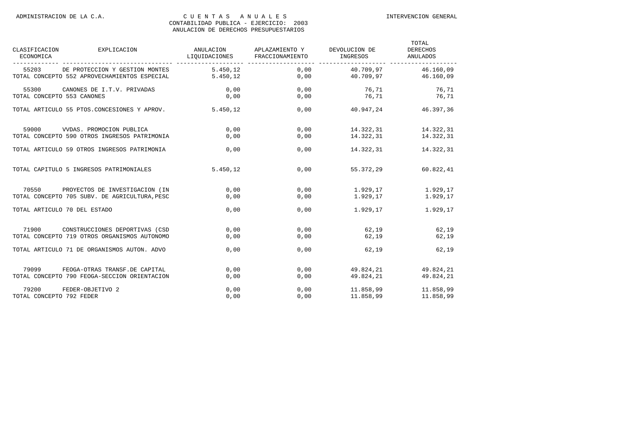| CLASIFICACION<br>ECONOMICA   | EXPLICACION                                   | ANULACION<br>LIQUIDACIONES | APLAZAMIENTO Y<br>FRACCIONAMIENTO | DEVOLUCION DE<br>INGRESOS | TOTAL<br><b>DERECHOS</b><br><b>ANULADOS</b> |
|------------------------------|-----------------------------------------------|----------------------------|-----------------------------------|---------------------------|---------------------------------------------|
| 55203                        | DE PROTECCION Y GESTION MONTES                | 5.450,12                   | 0,00                              | 40.709,97                 | 46.160,09                                   |
|                              | TOTAL CONCEPTO 552 APROVECHAMIENTOS ESPECIAL  | 5.450.12                   | 0.00                              | 40.709.97                 | 46.160.09                                   |
| 55300                        | CANONES DE I.T.V. PRIVADAS                    | 0,00                       | 0.00                              | 76,71                     | 76,71                                       |
| TOTAL CONCEPTO 553 CANONES   |                                               | 0.00                       | 0.00                              | 76.71                     | 76,71                                       |
|                              | TOTAL ARTICULO 55 PTOS.CONCESIONES Y APROV.   | 5.450.12                   | 0,00                              | 40.947.24                 | 46.397,36                                   |
| 59000                        | VVDAS. PROMOCION PUBLICA                      | 0,00                       | 0,00                              | 14.322,31                 | 14.322,31                                   |
|                              | TOTAL CONCEPTO 590 OTROS INGRESOS PATRIMONIA  | 0,00                       | 0,00                              | 14.322,31                 | 14.322,31                                   |
|                              | TOTAL ARTICULO 59 OTROS INGRESOS PATRIMONIA   | 0.00                       | 0.00                              | 14.322,31                 | 14.322,31                                   |
|                              | TOTAL CAPITULO 5 INGRESOS PATRIMONIALES       | 5.450,12                   | 0.00                              | 55.372.29                 | 60.822,41                                   |
| 70550                        | PROYECTOS DE INVESTIGACION (IN                | 0,00                       | 0,00                              | 1.929,17                  | 1.929,17                                    |
|                              | TOTAL CONCEPTO 705 SUBV. DE AGRICULTURA, PESC | 0,00                       | 0,00                              | 1.929,17                  | 1.929,17                                    |
| TOTAL ARTICULO 70 DEL ESTADO |                                               | 0,00                       | 0,00                              | 1.929,17                  | 1.929,17                                    |
| 71900                        | CONSTRUCCIONES DEPORTIVAS (CSD                | 0,00                       | 0,00                              | 62,19                     | 62,19                                       |
|                              | TOTAL CONCEPTO 719 OTROS ORGANISMOS AUTONOMO  | 0,00                       | 0,00                              | 62,19                     | 62,19                                       |
|                              | TOTAL ARTICULO 71 DE ORGANISMOS AUTON. ADVO   | 0,00                       | 0,00                              | 62,19                     | 62,19                                       |
| 79099                        | FEOGA-OTRAS TRANSF.DE CAPITAL                 | 0,00                       | 0,00                              | 49.824.21                 | 49.824,21                                   |
|                              | TOTAL CONCEPTO 790 FEOGA-SECCION ORIENTACION  | 0,00                       | 0,00                              | 49.824,21                 | 49.824,21                                   |
| 79200                        | FEDER-OBJETIVO 2                              | 0,00                       | 0,00                              | 11.858,99                 | 11.858,99                                   |
| TOTAL CONCEPTO 792 FEDER     |                                               | 0.00                       | 0.00                              | 11.858,99                 | 11.858.99                                   |